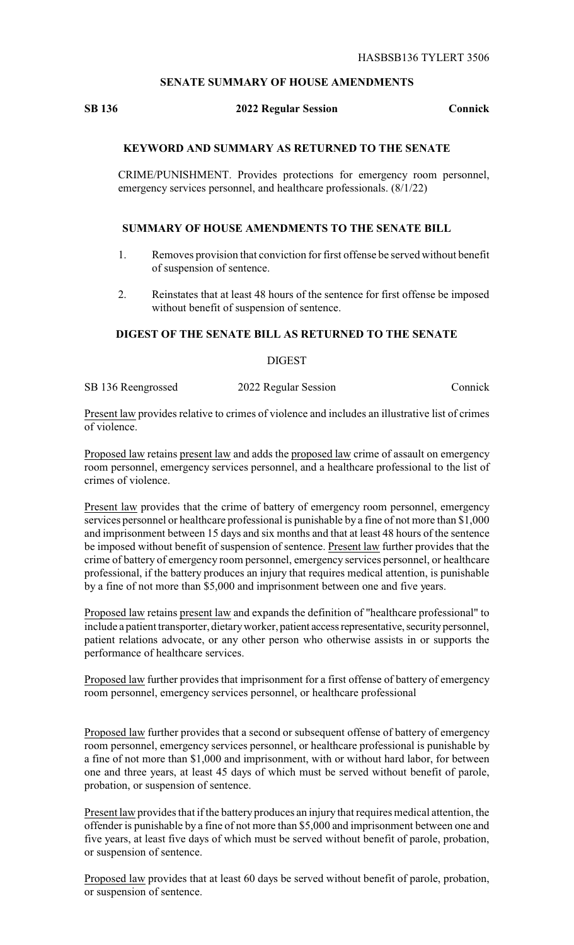## **SENATE SUMMARY OF HOUSE AMENDMENTS**

#### **SB 136 2022 Regular Session Connick**

## **KEYWORD AND SUMMARY AS RETURNED TO THE SENATE**

CRIME/PUNISHMENT. Provides protections for emergency room personnel, emergency services personnel, and healthcare professionals. (8/1/22)

# **SUMMARY OF HOUSE AMENDMENTS TO THE SENATE BILL**

- 1. Removes provision that conviction for first offense be served without benefit of suspension of sentence.
- 2. Reinstates that at least 48 hours of the sentence for first offense be imposed without benefit of suspension of sentence.

#### **DIGEST OF THE SENATE BILL AS RETURNED TO THE SENATE**

**DIGEST** 

SB 136 Reengrossed 2022 Regular Session Connick

Present law provides relative to crimes of violence and includes an illustrative list of crimes of violence.

Proposed law retains present law and adds the proposed law crime of assault on emergency room personnel, emergency services personnel, and a healthcare professional to the list of crimes of violence.

Present law provides that the crime of battery of emergency room personnel, emergency services personnel or healthcare professional is punishable by a fine of not more than \$1,000 and imprisonment between 15 days and six months and that at least 48 hours of the sentence be imposed without benefit of suspension of sentence. Present law further provides that the crime of battery of emergency room personnel, emergency services personnel, or healthcare professional, if the battery produces an injury that requires medical attention, is punishable by a fine of not more than \$5,000 and imprisonment between one and five years.

Proposed law retains present law and expands the definition of "healthcare professional" to include a patient transporter, dietary worker, patient access representative, security personnel, patient relations advocate, or any other person who otherwise assists in or supports the performance of healthcare services.

Proposed law further provides that imprisonment for a first offense of battery of emergency room personnel, emergency services personnel, or healthcare professional

Proposed law further provides that a second or subsequent offense of battery of emergency room personnel, emergency services personnel, or healthcare professional is punishable by a fine of not more than \$1,000 and imprisonment, with or without hard labor, for between one and three years, at least 45 days of which must be served without benefit of parole, probation, or suspension of sentence.

Present law provides that if the battery produces an injury that requires medical attention, the offender is punishable by a fine of not more than \$5,000 and imprisonment between one and five years, at least five days of which must be served without benefit of parole, probation, or suspension of sentence.

Proposed law provides that at least 60 days be served without benefit of parole, probation, or suspension of sentence.